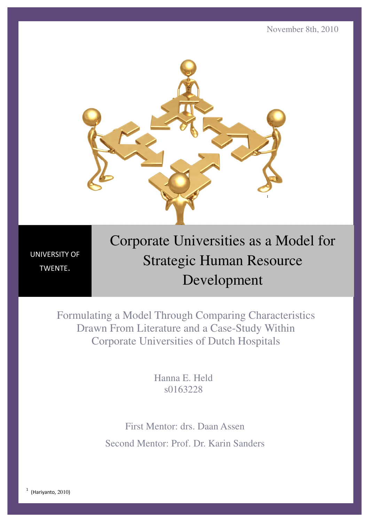

UNIVERSITY OF TWENTE.

# Corporate Universities as a Model for Strategic Human Resource Development

Formulating a Model Through Comparing Characteristics Drawn From Literature and a Case-Study Within Corporate Universities of Dutch Hospitals

> Hanna E. Held s0163228

First Mentor: drs. Daan Assen Second Mentor: Prof. Dr. Karin Sanders

 $<sup>1</sup>$  (Hariyanto, 2010)</sup>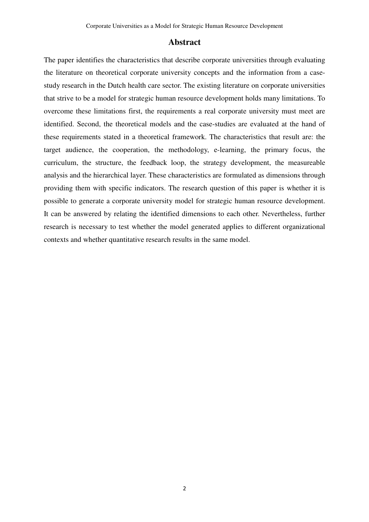### **Abstract**

The paper identifies the characteristics that describe corporate universities through evaluating the literature on theoretical corporate university concepts and the information from a casestudy research in the Dutch health care sector. The existing literature on corporate universities that strive to be a model for strategic human resource development holds many limitations. To overcome these limitations first, the requirements a real corporate university must meet are identified. Second, the theoretical models and the case-studies are evaluated at the hand of these requirements stated in a theoretical framework. The characteristics that result are: the target audience, the cooperation, the methodology, e-learning, the primary focus, the curriculum, the structure, the feedback loop, the strategy development, the measureable analysis and the hierarchical layer. These characteristics are formulated as dimensions through providing them with specific indicators. The research question of this paper is whether it is possible to generate a corporate university model for strategic human resource development. It can be answered by relating the identified dimensions to each other. Nevertheless, further research is necessary to test whether the model generated applies to different organizational contexts and whether quantitative research results in the same model.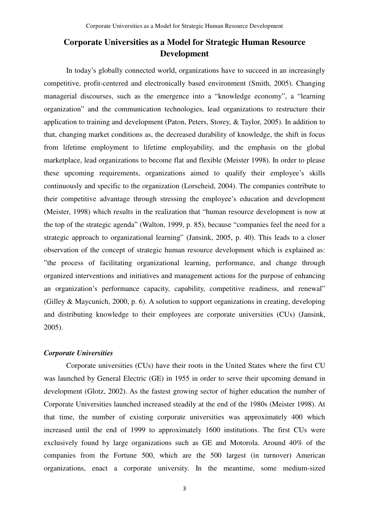### **Corporate Universities as a Model for Strategic Human Resource Development**

In today's globally connected world, organizations have to succeed in an increasingly competitive, profit-centered and electronically based environment (Smith, 2005). Changing managerial discourses, such as the emergence into a "knowledge economy", a "learning organization" and the communication technologies, lead organizations to restructure their application to training and development (Paton, Peters, Storey, & Taylor, 2005). In addition to that, changing market conditions as, the decreased durability of knowledge, the shift in focus from lifetime employment to lifetime employability, and the emphasis on the global marketplace, lead organizations to become flat and flexible (Meister 1998). In order to please these upcoming requirements, organizations aimed to qualify their employee's skills continuously and specific to the organization (Lorscheid, 2004). The companies contribute to their competitive advantage through stressing the employee's education and development (Meister, 1998) which results in the realization that "human resource development is now at the top of the strategic agenda" (Walton, 1999, p. 85), because "companies feel the need for a strategic approach to organizational learning" (Jansink, 2005, p. 40). This leads to a closer observation of the concept of strategic human resource development which is explained as: "the process of facilitating organizational learning, performance, and change through organized interventions and initiatives and management actions for the purpose of enhancing an organization's performance capacity, capability, competitive readiness, and renewal" (Gilley & Maycunich, 2000, p. 6). A solution to support organizations in creating, developing and distributing knowledge to their employees are corporate universities (CUs) (Jansink, 2005).

### *Corporate Universities*

Corporate universities (CUs) have their roots in the United States where the first CU was launched by General Electric (GE) in 1955 in order to serve their upcoming demand in development (Glotz, 2002). As the fastest growing sector of higher education the number of Corporate Universities launched increased steadily at the end of the 1980s (Meister 1998). At that time, the number of existing corporate universities was approximately 400 which increased until the end of 1999 to approximately 1600 institutions. The first CUs were exclusively found by large organizations such as GE and Motorola. Around 40% of the companies from the Fortune 500, which are the 500 largest (in turnover) American organizations, enact a corporate university. In the meantime, some medium-sized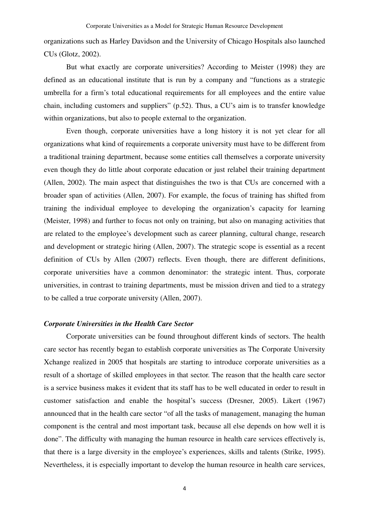organizations such as Harley Davidson and the University of Chicago Hospitals also launched CUs (Glotz, 2002).

But what exactly are corporate universities? According to Meister (1998) they are defined as an educational institute that is run by a company and "functions as a strategic umbrella for a firm's total educational requirements for all employees and the entire value chain, including customers and suppliers" (p.52). Thus, a CU's aim is to transfer knowledge within organizations, but also to people external to the organization.

Even though, corporate universities have a long history it is not yet clear for all organizations what kind of requirements a corporate university must have to be different from a traditional training department, because some entities call themselves a corporate university even though they do little about corporate education or just relabel their training department (Allen, 2002). The main aspect that distinguishes the two is that CUs are concerned with a broader span of activities (Allen, 2007). For example, the focus of training has shifted from training the individual employee to developing the organization's capacity for learning (Meister, 1998) and further to focus not only on training, but also on managing activities that are related to the employee's development such as career planning, cultural change, research and development or strategic hiring (Allen, 2007). The strategic scope is essential as a recent definition of CUs by Allen (2007) reflects. Even though, there are different definitions, corporate universities have a common denominator: the strategic intent. Thus, corporate universities, in contrast to training departments, must be mission driven and tied to a strategy to be called a true corporate university (Allen, 2007).

### *Corporate Universities in the Health Care Sector*

Corporate universities can be found throughout different kinds of sectors. The health care sector has recently began to establish corporate universities as The Corporate University Xchange realized in 2005 that hospitals are starting to introduce corporate universities as a result of a shortage of skilled employees in that sector. The reason that the health care sector is a service business makes it evident that its staff has to be well educated in order to result in customer satisfaction and enable the hospital's success (Dresner, 2005). Likert (1967) announced that in the health care sector "of all the tasks of management, managing the human component is the central and most important task, because all else depends on how well it is done". The difficulty with managing the human resource in health care services effectively is, that there is a large diversity in the employee's experiences, skills and talents (Strike, 1995). Nevertheless, it is especially important to develop the human resource in health care services,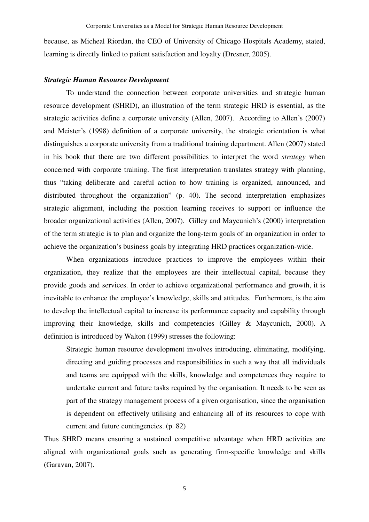because, as Micheal Riordan, the CEO of University of Chicago Hospitals Academy, stated, learning is directly linked to patient satisfaction and loyalty (Dresner, 2005).

#### *Strategic Human Resource Development*

To understand the connection between corporate universities and strategic human resource development (SHRD), an illustration of the term strategic HRD is essential, as the strategic activities define a corporate university (Allen, 2007). According to Allen's (2007) and Meister's (1998) definition of a corporate university, the strategic orientation is what distinguishes a corporate university from a traditional training department. Allen (2007) stated in his book that there are two different possibilities to interpret the word *strategy* when concerned with corporate training. The first interpretation translates strategy with planning, thus "taking deliberate and careful action to how training is organized, announced, and distributed throughout the organization" (p. 40). The second interpretation emphasizes strategic alignment, including the position learning receives to support or influence the broader organizational activities (Allen, 2007). Gilley and Maycunich's (2000) interpretation of the term strategic is to plan and organize the long-term goals of an organization in order to achieve the organization's business goals by integrating HRD practices organization-wide.

When organizations introduce practices to improve the employees within their organization, they realize that the employees are their intellectual capital, because they provide goods and services. In order to achieve organizational performance and growth, it is inevitable to enhance the employee's knowledge, skills and attitudes. Furthermore, is the aim to develop the intellectual capital to increase its performance capacity and capability through improving their knowledge, skills and competencies (Gilley & Maycunich, 2000). A definition is introduced by Walton (1999) stresses the following:

Strategic human resource development involves introducing, eliminating, modifying, directing and guiding processes and responsibilities in such a way that all individuals and teams are equipped with the skills, knowledge and competences they require to undertake current and future tasks required by the organisation. It needs to be seen as part of the strategy management process of a given organisation, since the organisation is dependent on effectively utilising and enhancing all of its resources to cope with current and future contingencies. (p. 82)

Thus SHRD means ensuring a sustained competitive advantage when HRD activities are aligned with organizational goals such as generating firm-specific knowledge and skills (Garavan, 2007).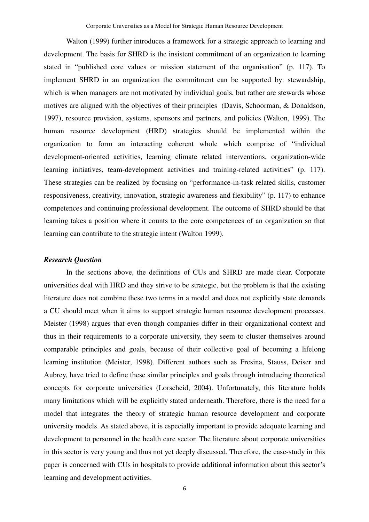Walton (1999) further introduces a framework for a strategic approach to learning and development. The basis for SHRD is the insistent commitment of an organization to learning stated in "published core values or mission statement of the organisation" (p. 117). To implement SHRD in an organization the commitment can be supported by: stewardship, which is when managers are not motivated by individual goals, but rather are stewards whose motives are aligned with the objectives of their principles (Davis, Schoorman, & Donaldson, 1997), resource provision, systems, sponsors and partners, and policies (Walton, 1999). The human resource development (HRD) strategies should be implemented within the organization to form an interacting coherent whole which comprise of "individual development-oriented activities, learning climate related interventions, organization-wide learning initiatives, team-development activities and training-related activities" (p. 117). These strategies can be realized by focusing on "performance-in-task related skills, customer responsiveness, creativity, innovation, strategic awareness and flexibility" (p. 117) to enhance competences and continuing professional development. The outcome of SHRD should be that learning takes a position where it counts to the core competences of an organization so that learning can contribute to the strategic intent (Walton 1999).

#### *Research Question*

In the sections above, the definitions of CUs and SHRD are made clear. Corporate universities deal with HRD and they strive to be strategic, but the problem is that the existing literature does not combine these two terms in a model and does not explicitly state demands a CU should meet when it aims to support strategic human resource development processes. Meister (1998) argues that even though companies differ in their organizational context and thus in their requirements to a corporate university, they seem to cluster themselves around comparable principles and goals, because of their collective goal of becoming a lifelong learning institution (Meister, 1998). Different authors such as Fresina, Stauss, Deiser and Aubrey, have tried to define these similar principles and goals through introducing theoretical concepts for corporate universities (Lorscheid, 2004). Unfortunately, this literature holds many limitations which will be explicitly stated underneath. Therefore, there is the need for a model that integrates the theory of strategic human resource development and corporate university models. As stated above, it is especially important to provide adequate learning and development to personnel in the health care sector. The literature about corporate universities in this sector is very young and thus not yet deeply discussed. Therefore, the case-study in this paper is concerned with CUs in hospitals to provide additional information about this sector's learning and development activities.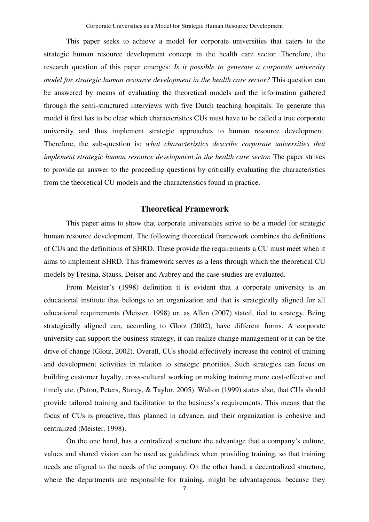This paper seeks to achieve a model for corporate universities that caters to the strategic human resource development concept in the health care sector. Therefore, the research question of this paper emerges: *Is it possible to generate a corporate university model for strategic human resource development in the health care sector?* This question can be answered by means of evaluating the theoretical models and the information gathered through the semi-structured interviews with five Dutch teaching hospitals. To generate this model it first has to be clear which characteristics CUs must have to be called a true corporate university and thus implement strategic approaches to human resource development. Therefore, the sub-question is: *what characteristics describe corporate universities that implement strategic human resource development in the health care sector.* The paper strives to provide an answer to the proceeding questions by critically evaluating the characteristics from the theoretical CU models and the characteristics found in practice.

### **Theoretical Framework**

This paper aims to show that corporate universities strive to be a model for strategic human resource development. The following theoretical framework combines the definitions of CUs and the definitions of SHRD. These provide the requirements a CU must meet when it aims to implement SHRD. This framework serves as a lens through which the theoretical CU models by Fresina, Stauss, Deiser and Aubrey and the case-studies are evaluated.

From Meister's (1998) definition it is evident that a corporate university is an educational institute that belongs to an organization and that is strategically aligned for all educational requirements (Meister, 1998) or, as Allen (2007) stated, tied to strategy. Being strategically aligned can, according to Glotz (2002), have different forms. A corporate university can support the business strategy, it can realize change management or it can be the drive of change (Glotz, 2002). Overall, CUs should effectively increase the control of training and development activities in relation to strategic priorities. Such strategies can focus on building customer loyalty, cross-cultural working or making training more cost-effective and timely etc. (Paton, Peters, Storey, & Taylor, 2005). Walton (1999) states also, that CUs should provide tailored training and facilitation to the business's requirements. This means that the focus of CUs is proactive, thus planned in advance, and their organization is cohesive and centralized (Meister, 1998).

On the one hand, has a centralized structure the advantage that a company's culture, values and shared vision can be used as guidelines when providing training, so that training needs are aligned to the needs of the company. On the other hand, a decentralized structure, where the departments are responsible for training, might be advantageous, because they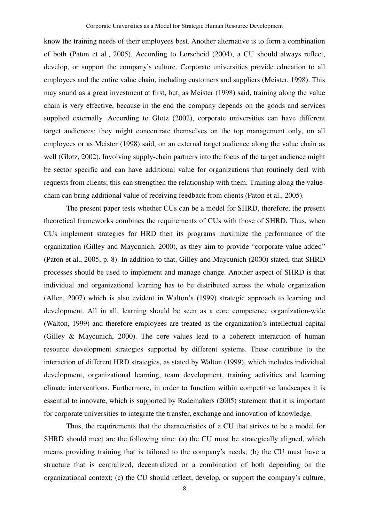know the training needs of their employees best. Another alternative is to form a combination of both (Paton et al., 2005). According to Lorscheid (2004), a CU should always reflect, develop, or support the company's culture. Corporate universities provide education to all employees and the entire value chain, including customers and suppliers (Meister, 1998). This may sound as a great investment at first, but, as Meister (1998) said, training along the value chain is very effective, because in the end the company depends on the goods and services supplied externally. According to Glotz (2002), corporate universities can have different target audiences; they might concentrate themselves on the top management only, on all employees or as Meister (1998) said, on an external target audience along the value chain as well (Glotz, 2002). Involving supply-chain partners into the focus of the target audience might be sector specific and can have additional value for organizations that routinely deal with requests from clients; this can strengthen the relationship with them. Training along the valuechain can bring additional value of receiving feedback from clients (Paton et al., 2005).

The present paper tests whether CUs can be a model for SHRD, therefore, the present theoretical frameworks combines the requirements of CUs with those of SHRD. Thus, when CUs implement strategies for HRD then its programs maximize the performance of the organization (Gilley and Maycunich, 2000), as they aim to provide "corporate value added" (Paton et al., 2005, p. 8). In addition to that, Gilley and Maycunich (2000) stated, that SHRD processes should be used to implement and manage change. Another aspect of SHRD is that individual and organizational learning has to be distributed across the whole organization (Allen, 2007) which is also evident in Walton's (1999) strategic approach to learning and development. All in all, learning should be seen as a core competence organization-wide (Walton, 1999) and therefore employees are treated as the organization's intellectual capital (Gilley & Maycunich, 2000). The core values lead to a coherent interaction of human resource development strategies supported by different systems. These contribute to the interaction of different HRD strategies, as stated by Walton (1999), which includes individual development, organizational learning, team development, training activities and learning climate interventions. Furthermore, in order to function within competitive landscapes it is essential to innovate, which is supported by Rademakers (2005) statement that it is important for corporate universities to integrate the transfer, exchange and innovation of knowledge.

Thus, the requirements that the characteristics of a CU that strives to be a model for SHRD should meet are the following nine: (a) the CU must be strategically aligned, which means providing training that is tailored to the company's needs; (b) the CU must have a structure that is centralized, decentralized or a combination of both depending on the organizational context; (c) the CU should reflect, develop, or support the company's culture,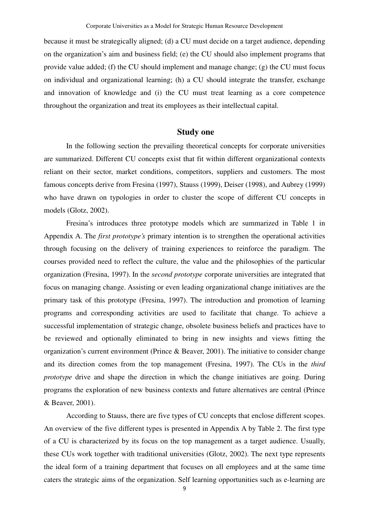because it must be strategically aligned; (d) a CU must decide on a target audience, depending on the organization's aim and business field; (e) the CU should also implement programs that provide value added; (f) the CU should implement and manage change; (g) the CU must focus on individual and organizational learning; (h) a CU should integrate the transfer, exchange and innovation of knowledge and (i) the CU must treat learning as a core competence throughout the organization and treat its employees as their intellectual capital.

### **Study one**

In the following section the prevailing theoretical concepts for corporate universities are summarized. Different CU concepts exist that fit within different organizational contexts reliant on their sector, market conditions, competitors, suppliers and customers. The most famous concepts derive from Fresina (1997), Stauss (1999), Deiser (1998), and Aubrey (1999) who have drawn on typologies in order to cluster the scope of different CU concepts in models (Glotz, 2002).

Fresina's introduces three prototype models which are summarized in Table 1 in Appendix A. The *first prototype's* primary intention is to strengthen the operational activities through focusing on the delivery of training experiences to reinforce the paradigm. The courses provided need to reflect the culture, the value and the philosophies of the particular organization (Fresina, 1997). In the *second prototype* corporate universities are integrated that focus on managing change. Assisting or even leading organizational change initiatives are the primary task of this prototype (Fresina, 1997). The introduction and promotion of learning programs and corresponding activities are used to facilitate that change. To achieve a successful implementation of strategic change, obsolete business beliefs and practices have to be reviewed and optionally eliminated to bring in new insights and views fitting the organization's current environment (Prince & Beaver, 2001). The initiative to consider change and its direction comes from the top management (Fresina, 1997). The CUs in the *third prototype* drive and shape the direction in which the change initiatives are going. During programs the exploration of new business contexts and future alternatives are central (Prince & Beaver, 2001).

According to Stauss, there are five types of CU concepts that enclose different scopes. An overview of the five different types is presented in Appendix A by Table 2. The first type of a CU is characterized by its focus on the top management as a target audience. Usually, these CUs work together with traditional universities (Glotz, 2002). The next type represents the ideal form of a training department that focuses on all employees and at the same time caters the strategic aims of the organization. Self learning opportunities such as e-learning are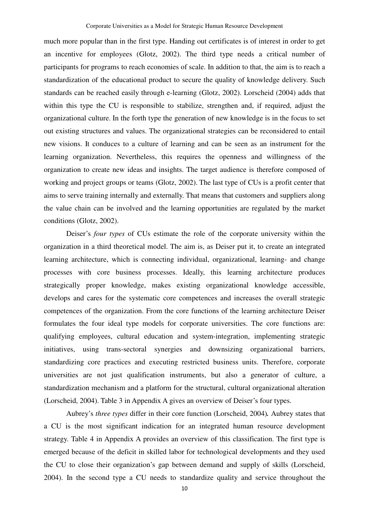much more popular than in the first type. Handing out certificates is of interest in order to get an incentive for employees (Glotz, 2002). The third type needs a critical number of participants for programs to reach economies of scale. In addition to that, the aim is to reach a standardization of the educational product to secure the quality of knowledge delivery. Such standards can be reached easily through e-learning (Glotz, 2002). Lorscheid (2004) adds that within this type the CU is responsible to stabilize, strengthen and, if required, adjust the organizational culture. In the forth type the generation of new knowledge is in the focus to set out existing structures and values. The organizational strategies can be reconsidered to entail new visions. It conduces to a culture of learning and can be seen as an instrument for the learning organization. Nevertheless, this requires the openness and willingness of the organization to create new ideas and insights. The target audience is therefore composed of working and project groups or teams (Glotz, 2002). The last type of CUs is a profit center that aims to serve training internally and externally. That means that customers and suppliers along the value chain can be involved and the learning opportunities are regulated by the market conditions (Glotz, 2002).

Deiser's *four types* of CUs estimate the role of the corporate university within the organization in a third theoretical model. The aim is, as Deiser put it, to create an integrated learning architecture, which is connecting individual, organizational, learning- and change processes with core business processes. Ideally, this learning architecture produces strategically proper knowledge, makes existing organizational knowledge accessible, develops and cares for the systematic core competences and increases the overall strategic competences of the organization. From the core functions of the learning architecture Deiser formulates the four ideal type models for corporate universities. The core functions are: qualifying employees, cultural education and system-integration, implementing strategic initiatives, using trans-sectoral synergies and downsizing organizational barriers, standardizing core practices and executing restricted business units. Therefore, corporate universities are not just qualification instruments, but also a generator of culture, a standardization mechanism and a platform for the structural, cultural organizational alteration (Lorscheid, 2004). Table 3 in Appendix A gives an overview of Deiser's four types.

Aubrey's *three types* differ in their core function (Lorscheid, 2004)*.* Aubrey states that a CU is the most significant indication for an integrated human resource development strategy. Table 4 in Appendix A provides an overview of this classification. The first type is emerged because of the deficit in skilled labor for technological developments and they used the CU to close their organization's gap between demand and supply of skills (Lorscheid, 2004). In the second type a CU needs to standardize quality and service throughout the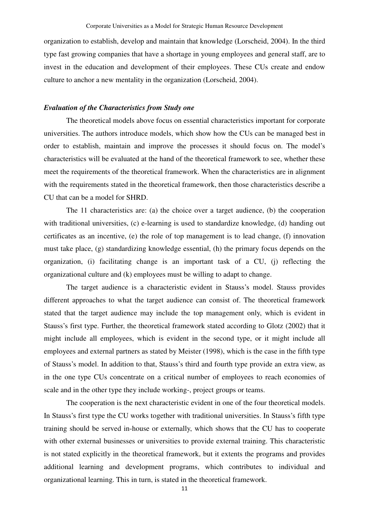organization to establish, develop and maintain that knowledge (Lorscheid, 2004). In the third type fast growing companies that have a shortage in young employees and general staff, are to invest in the education and development of their employees. These CUs create and endow culture to anchor a new mentality in the organization (Lorscheid, 2004).

### *Evaluation of the Characteristics from Study one*

The theoretical models above focus on essential characteristics important for corporate universities. The authors introduce models, which show how the CUs can be managed best in order to establish, maintain and improve the processes it should focus on. The model's characteristics will be evaluated at the hand of the theoretical framework to see, whether these meet the requirements of the theoretical framework. When the characteristics are in alignment with the requirements stated in the theoretical framework, then those characteristics describe a CU that can be a model for SHRD.

The 11 characteristics are: (a) the choice over a target audience, (b) the cooperation with traditional universities, (c) e-learning is used to standardize knowledge, (d) handing out certificates as an incentive, (e) the role of top management is to lead change, (f) innovation must take place, (g) standardizing knowledge essential, (h) the primary focus depends on the organization, (i) facilitating change is an important task of a CU, (j) reflecting the organizational culture and (k) employees must be willing to adapt to change.

The target audience is a characteristic evident in Stauss's model. Stauss provides different approaches to what the target audience can consist of. The theoretical framework stated that the target audience may include the top management only, which is evident in Stauss's first type. Further, the theoretical framework stated according to Glotz (2002) that it might include all employees, which is evident in the second type, or it might include all employees and external partners as stated by Meister (1998), which is the case in the fifth type of Stauss's model. In addition to that, Stauss's third and fourth type provide an extra view, as in the one type CUs concentrate on a critical number of employees to reach economies of scale and in the other type they include working-, project groups or teams.

The cooperation is the next characteristic evident in one of the four theoretical models. In Stauss's first type the CU works together with traditional universities. In Stauss's fifth type training should be served in-house or externally, which shows that the CU has to cooperate with other external businesses or universities to provide external training. This characteristic is not stated explicitly in the theoretical framework, but it extents the programs and provides additional learning and development programs, which contributes to individual and organizational learning. This in turn, is stated in the theoretical framework.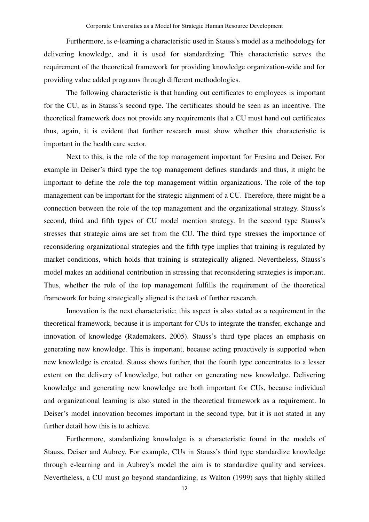Furthermore, is e-learning a characteristic used in Stauss's model as a methodology for delivering knowledge, and it is used for standardizing. This characteristic serves the requirement of the theoretical framework for providing knowledge organization-wide and for providing value added programs through different methodologies.

The following characteristic is that handing out certificates to employees is important for the CU, as in Stauss's second type. The certificates should be seen as an incentive. The theoretical framework does not provide any requirements that a CU must hand out certificates thus, again, it is evident that further research must show whether this characteristic is important in the health care sector.

Next to this, is the role of the top management important for Fresina and Deiser. For example in Deiser's third type the top management defines standards and thus, it might be important to define the role the top management within organizations. The role of the top management can be important for the strategic alignment of a CU. Therefore, there might be a connection between the role of the top management and the organizational strategy. Stauss's second, third and fifth types of CU model mention strategy. In the second type Stauss's stresses that strategic aims are set from the CU. The third type stresses the importance of reconsidering organizational strategies and the fifth type implies that training is regulated by market conditions, which holds that training is strategically aligned. Nevertheless, Stauss's model makes an additional contribution in stressing that reconsidering strategies is important. Thus, whether the role of the top management fulfills the requirement of the theoretical framework for being strategically aligned is the task of further research.

Innovation is the next characteristic; this aspect is also stated as a requirement in the theoretical framework, because it is important for CUs to integrate the transfer, exchange and innovation of knowledge (Rademakers, 2005). Stauss's third type places an emphasis on generating new knowledge. This is important, because acting proactively is supported when new knowledge is created. Stauss shows further, that the fourth type concentrates to a lesser extent on the delivery of knowledge, but rather on generating new knowledge. Delivering knowledge and generating new knowledge are both important for CUs, because individual and organizational learning is also stated in the theoretical framework as a requirement. In Deiser's model innovation becomes important in the second type, but it is not stated in any further detail how this is to achieve.

Furthermore, standardizing knowledge is a characteristic found in the models of Stauss, Deiser and Aubrey. For example, CUs in Stauss's third type standardize knowledge through e-learning and in Aubrey's model the aim is to standardize quality and services. Nevertheless, a CU must go beyond standardizing, as Walton (1999) says that highly skilled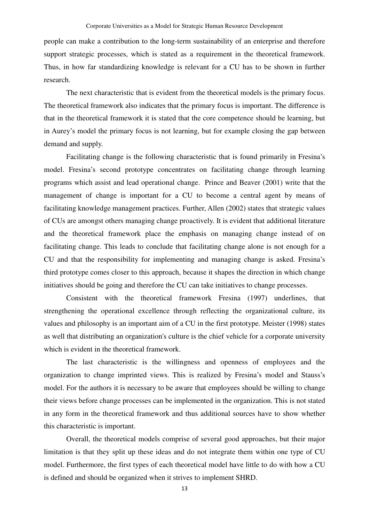people can make a contribution to the long-term sustainability of an enterprise and therefore support strategic processes, which is stated as a requirement in the theoretical framework. Thus, in how far standardizing knowledge is relevant for a CU has to be shown in further research.

The next characteristic that is evident from the theoretical models is the primary focus. The theoretical framework also indicates that the primary focus is important. The difference is that in the theoretical framework it is stated that the core competence should be learning, but in Aurey's model the primary focus is not learning, but for example closing the gap between demand and supply.

Facilitating change is the following characteristic that is found primarily in Fresina's model. Fresina's second prototype concentrates on facilitating change through learning programs which assist and lead operational change. Prince and Beaver (2001) write that the management of change is important for a CU to become a central agent by means of facilitating knowledge management practices. Further, Allen (2002) states that strategic values of CUs are amongst others managing change proactively. It is evident that additional literature and the theoretical framework place the emphasis on managing change instead of on facilitating change. This leads to conclude that facilitating change alone is not enough for a CU and that the responsibility for implementing and managing change is asked. Fresina's third prototype comes closer to this approach, because it shapes the direction in which change initiatives should be going and therefore the CU can take initiatives to change processes.

Consistent with the theoretical framework Fresina (1997) underlines, that strengthening the operational excellence through reflecting the organizational culture, its values and philosophy is an important aim of a CU in the first prototype. Meister (1998) states as well that distributing an organization's culture is the chief vehicle for a corporate university which is evident in the theoretical framework.

The last characteristic is the willingness and openness of employees and the organization to change imprinted views. This is realized by Fresina's model and Stauss's model. For the authors it is necessary to be aware that employees should be willing to change their views before change processes can be implemented in the organization. This is not stated in any form in the theoretical framework and thus additional sources have to show whether this characteristic is important.

Overall, the theoretical models comprise of several good approaches, but their major limitation is that they split up these ideas and do not integrate them within one type of CU model. Furthermore, the first types of each theoretical model have little to do with how a CU is defined and should be organized when it strives to implement SHRD.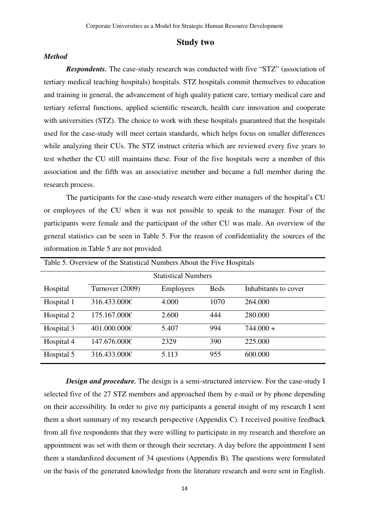### **Study two**

### *Method*

*Respondents.* The case-study research was conducted with five "STZ" (association of tertiary medical teaching hospitals) hospitals. STZ hospitals commit themselves to education and training in general, the advancement of high quality patient care, tertiary medical care and tertiary referral functions, applied scientific research, health care innovation and cooperate with universities (STZ). The choice to work with these hospitals guaranteed that the hospitals used for the case-study will meet certain standards, which helps focus on smaller differences while analyzing their CUs. The STZ instruct criteria which are reviewed every five years to test whether the CU still maintains these. Four of the five hospitals were a member of this association and the fifth was an associative member and became a full member during the research process.

The participants for the case-study research were either managers of the hospital's CU or employees of the CU when it was not possible to speak to the manager. Four of the participants were female and the participant of the other CU was male. An overview of the general statistics can be seen in Table 5. For the reason of confidentiality the sources of the information in Table 5 are not provided.

| Table 5. Overview of the Statistical Numbers About the Five Hospitals |                 |                  |             |                      |  |
|-----------------------------------------------------------------------|-----------------|------------------|-------------|----------------------|--|
| <b>Statistical Numbers</b>                                            |                 |                  |             |                      |  |
| Hospital                                                              | Turnover (2009) | <b>Employees</b> | <b>Beds</b> | Inhabitants to cover |  |
| Hospital 1                                                            | 316.433.000€    | 4.000            | 1070        | 264.000              |  |
| Hospital 2                                                            | 175.167.000€    | 2.600            | 444         | 280.000              |  |
| Hospital 3                                                            | 401.000.000€    | 5.407            | 994         | $744.000 +$          |  |
| Hospital 4                                                            | 147.676.000€    | 2329             | 390         | 225.000              |  |
| Hospital 5                                                            | 316.433.000€    | 5.113            | 955         | 600.000              |  |

*Design and procedure.* The design is a semi-structured interview. For the case-study I selected five of the 27 STZ members and approached them by e-mail or by phone depending on their accessibility. In order to give my participants a general insight of my research I sent them a short summary of my research perspective (Appendix C). I received positive feedback from all five respondents that they were willing to participate in my research and therefore an appointment was set with them or through their secretary. A day before the appointment I sent them a standardized document of 34 questions (Appendix B). The questions were formulated on the basis of the generated knowledge from the literature research and were sent in English.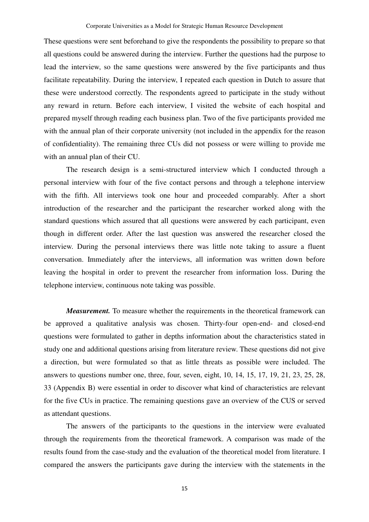These questions were sent beforehand to give the respondents the possibility to prepare so that all questions could be answered during the interview. Further the questions had the purpose to lead the interview, so the same questions were answered by the five participants and thus facilitate repeatability. During the interview, I repeated each question in Dutch to assure that these were understood correctly. The respondents agreed to participate in the study without any reward in return. Before each interview, I visited the website of each hospital and prepared myself through reading each business plan. Two of the five participants provided me with the annual plan of their corporate university (not included in the appendix for the reason of confidentiality). The remaining three CUs did not possess or were willing to provide me with an annual plan of their CU.

The research design is a semi-structured interview which I conducted through a personal interview with four of the five contact persons and through a telephone interview with the fifth. All interviews took one hour and proceeded comparably. After a short introduction of the researcher and the participant the researcher worked along with the standard questions which assured that all questions were answered by each participant, even though in different order. After the last question was answered the researcher closed the interview. During the personal interviews there was little note taking to assure a fluent conversation. Immediately after the interviews, all information was written down before leaving the hospital in order to prevent the researcher from information loss. During the telephone interview, continuous note taking was possible.

*Measurement*. To measure whether the requirements in the theoretical framework can be approved a qualitative analysis was chosen. Thirty-four open-end- and closed-end questions were formulated to gather in depths information about the characteristics stated in study one and additional questions arising from literature review. These questions did not give a direction, but were formulated so that as little threats as possible were included. The answers to questions number one, three, four, seven, eight, 10, 14, 15, 17, 19, 21, 23, 25, 28, 33 (Appendix B) were essential in order to discover what kind of characteristics are relevant for the five CUs in practice. The remaining questions gave an overview of the CUS or served as attendant questions.

The answers of the participants to the questions in the interview were evaluated through the requirements from the theoretical framework. A comparison was made of the results found from the case-study and the evaluation of the theoretical model from literature. I compared the answers the participants gave during the interview with the statements in the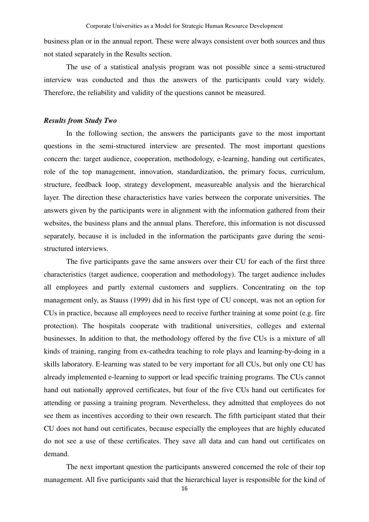business plan or in the annual report. These were always consistent over both sources and thus not stated separately in the Results section.

The use of a statistical analysis program was not possible since a semi-structured interview was conducted and thus the answers of the participants could vary widely. Therefore, the reliability and validity of the questions cannot be measured.

### *Results from Study Two*

In the following section, the answers the participants gave to the most important questions in the semi-structured interview are presented. The most important questions concern the: target audience, cooperation, methodology, e-learning, handing out certificates, role of the top management, innovation, standardization, the primary focus, curriculum, structure, feedback loop, strategy development, measureable analysis and the hierarchical layer. The direction these characteristics have varies between the corporate universities. The answers given by the participants were in alignment with the information gathered from their websites, the business plans and the annual plans. Therefore, this information is not discussed separately, because it is included in the information the participants gave during the semistructured interviews.

The five participants gave the same answers over their CU for each of the first three characteristics (target audience, cooperation and methodology). The target audience includes all employees and partly external customers and suppliers. Concentrating on the top management only, as Stauss (1999) did in his first type of CU concept, was not an option for CUs in practice, because all employees need to receive further training at some point (e.g. fire protection). The hospitals cooperate with traditional universities, colleges and external businesses. In addition to that, the methodology offered by the five CUs is a mixture of all kinds of training, ranging from ex-cathedra teaching to role plays and learning-by-doing in a skills laboratory. E-learning was stated to be very important for all CUs, but only one CU has already implemented e-learning to support or lead specific training programs. The CUs cannot hand out nationally approved certificates, but four of the five CUs hand out certificates for attending or passing a training program. Nevertheless, they admitted that employees do not see them as incentives according to their own research. The fifth participant stated that their CU does not hand out certificates, because especially the employees that are highly educated do not see a use of these certificates. They save all data and can hand out certificates on demand.

The next important question the participants answered concerned the role of their top management. All five participants said that the hierarchical layer is responsible for the kind of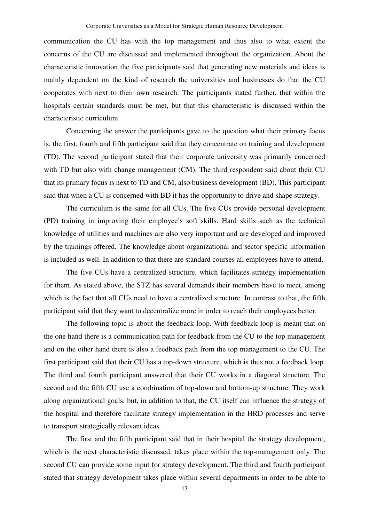communication the CU has with the top management and thus also to what extent the concerns of the CU are discussed and implemented throughout the organization. About the characteristic innovation the five participants said that generating new materials and ideas is mainly dependent on the kind of research the universities and businesses do that the CU cooperates with next to their own research. The participants stated further, that within the hospitals certain standards must be met, but that this characteristic is discussed within the characteristic curriculum.

 Concerning the answer the participants gave to the question what their primary focus is, the first, fourth and fifth participant said that they concentrate on training and development (TD). The second participant stated that their corporate university was primarily concerned with TD but also with change management (CM). The third respondent said about their CU that its primary focus is next to TD and CM, also business development (BD). This participant said that when a CU is concerned with BD it has the opportunity to drive and shape strategy.

The curriculum is the same for all CUs. The five CUs provide personal development (PD) training in improving their employee's soft skills. Hard skills such as the technical knowledge of utilities and machines are also very important and are developed and improved by the trainings offered. The knowledge about organizational and sector specific information is included as well. In addition to that there are standard courses all employees have to attend.

The five CUs have a centralized structure, which facilitates strategy implementation for them. As stated above, the STZ has several demands their members have to meet, among which is the fact that all CUs need to have a centralized structure. In contrast to that, the fifth participant said that they want to decentralize more in order to reach their employees better.

The following topic is about the feedback loop. With feedback loop is meant that on the one hand there is a communication path for feedback from the CU to the top management and on the other hand there is also a feedback path from the top management to the CU. The first participant said that their CU has a top-down structure, which is thus not a feedback loop. The third and fourth participant answered that their CU works in a diagonal structure. The second and the fifth CU use a combination of top-down and bottom-up structure. They work along organizational goals, but, in addition to that, the CU itself can influence the strategy of the hospital and therefore facilitate strategy implementation in the HRD processes and serve to transport strategically relevant ideas.

The first and the fifth participant said that in their hospital the strategy development, which is the next characteristic discussed, takes place within the top-management only. The second CU can provide some input for strategy development. The third and fourth participant stated that strategy development takes place within several departments in order to be able to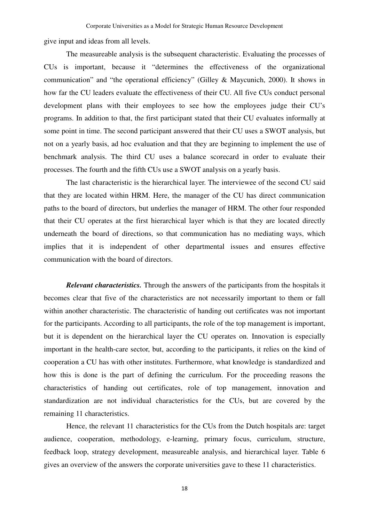give input and ideas from all levels.

The measureable analysis is the subsequent characteristic. Evaluating the processes of CUs is important, because it "determines the effectiveness of the organizational communication" and "the operational efficiency" (Gilley & Maycunich, 2000). It shows in how far the CU leaders evaluate the effectiveness of their CU. All five CUs conduct personal development plans with their employees to see how the employees judge their CU's programs. In addition to that, the first participant stated that their CU evaluates informally at some point in time. The second participant answered that their CU uses a SWOT analysis, but not on a yearly basis, ad hoc evaluation and that they are beginning to implement the use of benchmark analysis. The third CU uses a balance scorecard in order to evaluate their processes. The fourth and the fifth CUs use a SWOT analysis on a yearly basis.

The last characteristic is the hierarchical layer. The interviewee of the second CU said that they are located within HRM. Here, the manager of the CU has direct communication paths to the board of directors, but underlies the manager of HRM. The other four responded that their CU operates at the first hierarchical layer which is that they are located directly underneath the board of directions, so that communication has no mediating ways, which implies that it is independent of other departmental issues and ensures effective communication with the board of directors.

*Relevant characteristics.* Through the answers of the participants from the hospitals it becomes clear that five of the characteristics are not necessarily important to them or fall within another characteristic. The characteristic of handing out certificates was not important for the participants. According to all participants, the role of the top management is important, but it is dependent on the hierarchical layer the CU operates on. Innovation is especially important in the health-care sector, but, according to the participants, it relies on the kind of cooperation a CU has with other institutes. Furthermore, what knowledge is standardized and how this is done is the part of defining the curriculum. For the proceeding reasons the characteristics of handing out certificates, role of top management, innovation and standardization are not individual characteristics for the CUs, but are covered by the remaining 11 characteristics.

Hence, the relevant 11 characteristics for the CUs from the Dutch hospitals are: target audience, cooperation, methodology, e-learning, primary focus, curriculum, structure, feedback loop, strategy development, measureable analysis, and hierarchical layer. Table 6 gives an overview of the answers the corporate universities gave to these 11 characteristics.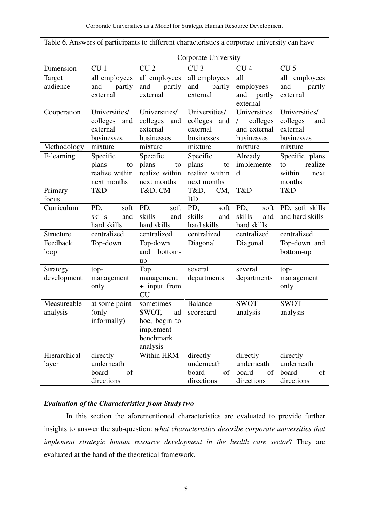|              | Corporate University          |                               |                               |                        |                         |  |
|--------------|-------------------------------|-------------------------------|-------------------------------|------------------------|-------------------------|--|
| Dimension    | CU <sub>1</sub>               | CU <sub>2</sub>               | CU <sub>3</sub>               | CU <sub>4</sub>        | CU <sub>5</sub>         |  |
| Target       | all employees                 | all employees                 | all employees                 | all                    | all employees           |  |
| audience     | partly<br>and                 | and<br>partly                 | and<br>partly                 | employees              | and<br>partly           |  |
|              | external                      | external                      | external                      | partly<br>and          | external                |  |
|              |                               |                               |                               | external               |                         |  |
| Cooperation  | Universities/                 | Universities/                 | Universities/                 | Universities           | Universities/           |  |
|              | colleges<br>and               | colleges<br>and               | colleges<br>and               | colleges<br>$\sqrt{2}$ | colleges<br>and         |  |
|              | external                      | external                      | external                      | and external           | external                |  |
|              | businesses                    | businesses                    | businesses                    | businesses             | businesses              |  |
| Methodology  | mixture                       | mixture                       | mixture                       | mixture                | mixture                 |  |
| E-learning   | Specific                      | Specific                      | Specific                      | Already                | Specific plans          |  |
|              | plans<br>to<br>realize within | plans<br>to<br>realize within | plans<br>to<br>realize within | implemente<br>d        | realize<br>to<br>within |  |
|              | next months                   | next months                   | next months                   |                        | next<br>months          |  |
| Primary      | T&D                           | T&D, CM                       | T&D,<br>CM,                   | T&D                    | T&D                     |  |
| focus        |                               |                               | <b>BD</b>                     |                        |                         |  |
| Curriculum   | soft<br>PD,                   | PD,<br>soft                   | PD,<br>soft                   | PD,<br>soft            | PD, soft skills         |  |
|              | skills<br>and                 | skills<br>and                 | skills<br>and                 | skills<br>and          | and hard skills         |  |
|              | hard skills                   | hard skills                   | hard skills                   | hard skills            |                         |  |
| Structure    | centralized                   | centralized                   | centralized                   | centralized            | centralized             |  |
| Feedback     | Top-down                      | Top-down                      | Diagonal                      | Diagonal               | Top-down and            |  |
| loop         |                               | bottom-<br>and                |                               |                        | bottom-up               |  |
|              |                               | up                            |                               |                        |                         |  |
| Strategy     | top-                          | Top                           | several                       | several                | top-                    |  |
| development  | management                    | management                    | departments                   | departments            | management              |  |
|              | only                          | + input from                  |                               |                        | only                    |  |
|              |                               | <b>CU</b>                     |                               |                        |                         |  |
| Measureable  | at some point                 | sometimes                     | <b>Balance</b>                | <b>SWOT</b>            | <b>SWOT</b>             |  |
| analysis     | (only                         | SWOT,<br>ad                   | scorecard                     | analysis               | analysis                |  |
|              | informally)                   | hoc, begin to                 |                               |                        |                         |  |
|              |                               | implement<br>benchmark        |                               |                        |                         |  |
|              |                               | analysis                      |                               |                        |                         |  |
| Hierarchical | directly                      | Within HRM                    | directly                      | directly               | directly                |  |
| layer        | underneath                    |                               | underneath                    | underneath             | underneath              |  |
|              | board<br>of                   |                               | of<br>board                   | board<br>of            | board<br>of             |  |
|              | directions                    |                               | directions                    | directions             | directions              |  |

| Table 6. Answers of participants to different characteristics a corporate university can have |  |  |  |
|-----------------------------------------------------------------------------------------------|--|--|--|
|-----------------------------------------------------------------------------------------------|--|--|--|

### *Evaluation of the Characteristics from Study two*

In this section the aforementioned characteristics are evaluated to provide further insights to answer the sub-question: *what characteristics describe corporate universities that implement strategic human resource development in the health care sector*? They are evaluated at the hand of the theoretical framework.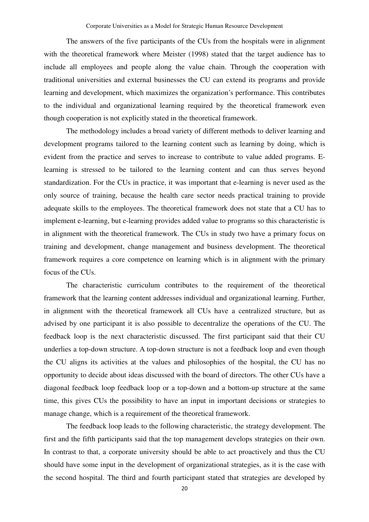The answers of the five participants of the CUs from the hospitals were in alignment with the theoretical framework where Meister (1998) stated that the target audience has to include all employees and people along the value chain. Through the cooperation with traditional universities and external businesses the CU can extend its programs and provide learning and development, which maximizes the organization's performance. This contributes to the individual and organizational learning required by the theoretical framework even though cooperation is not explicitly stated in the theoretical framework.

The methodology includes a broad variety of different methods to deliver learning and development programs tailored to the learning content such as learning by doing, which is evident from the practice and serves to increase to contribute to value added programs. Elearning is stressed to be tailored to the learning content and can thus serves beyond standardization. For the CUs in practice, it was important that e-learning is never used as the only source of training, because the health care sector needs practical training to provide adequate skills to the employees. The theoretical framework does not state that a CU has to implement e-learning, but e-learning provides added value to programs so this characteristic is in alignment with the theoretical framework. The CUs in study two have a primary focus on training and development, change management and business development. The theoretical framework requires a core competence on learning which is in alignment with the primary focus of the CUs.

The characteristic curriculum contributes to the requirement of the theoretical framework that the learning content addresses individual and organizational learning. Further, in alignment with the theoretical framework all CUs have a centralized structure, but as advised by one participant it is also possible to decentralize the operations of the CU. The feedback loop is the next characteristic discussed. The first participant said that their CU underlies a top-down structure. A top-down structure is not a feedback loop and even though the CU aligns its activities at the values and philosophies of the hospital, the CU has no opportunity to decide about ideas discussed with the board of directors. The other CUs have a diagonal feedback loop feedback loop or a top-down and a bottom-up structure at the same time, this gives CUs the possibility to have an input in important decisions or strategies to manage change, which is a requirement of the theoretical framework.

The feedback loop leads to the following characteristic, the strategy development. The first and the fifth participants said that the top management develops strategies on their own. In contrast to that, a corporate university should be able to act proactively and thus the CU should have some input in the development of organizational strategies, as it is the case with the second hospital. The third and fourth participant stated that strategies are developed by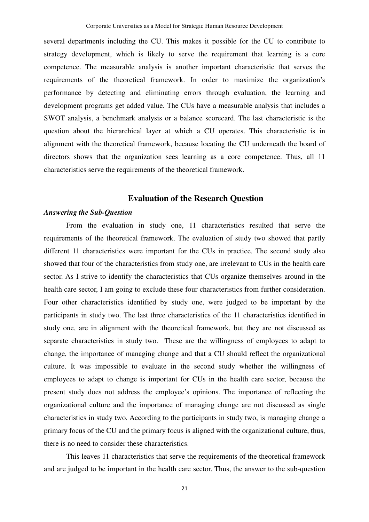several departments including the CU. This makes it possible for the CU to contribute to strategy development, which is likely to serve the requirement that learning is a core competence. The measurable analysis is another important characteristic that serves the requirements of the theoretical framework. In order to maximize the organization's performance by detecting and eliminating errors through evaluation, the learning and development programs get added value. The CUs have a measurable analysis that includes a SWOT analysis, a benchmark analysis or a balance scorecard. The last characteristic is the question about the hierarchical layer at which a CU operates. This characteristic is in alignment with the theoretical framework, because locating the CU underneath the board of directors shows that the organization sees learning as a core competence. Thus, all 11 characteristics serve the requirements of the theoretical framework.

### **Evaluation of the Research Question**

### *Answering the Sub-Question*

From the evaluation in study one, 11 characteristics resulted that serve the requirements of the theoretical framework. The evaluation of study two showed that partly different 11 characteristics were important for the CUs in practice. The second study also showed that four of the characteristics from study one, are irrelevant to CUs in the health care sector. As I strive to identify the characteristics that CUs organize themselves around in the health care sector, I am going to exclude these four characteristics from further consideration. Four other characteristics identified by study one, were judged to be important by the participants in study two. The last three characteristics of the 11 characteristics identified in study one, are in alignment with the theoretical framework, but they are not discussed as separate characteristics in study two. These are the willingness of employees to adapt to change, the importance of managing change and that a CU should reflect the organizational culture. It was impossible to evaluate in the second study whether the willingness of employees to adapt to change is important for CUs in the health care sector, because the present study does not address the employee's opinions. The importance of reflecting the organizational culture and the importance of managing change are not discussed as single characteristics in study two. According to the participants in study two, is managing change a primary focus of the CU and the primary focus is aligned with the organizational culture, thus, there is no need to consider these characteristics.

This leaves 11 characteristics that serve the requirements of the theoretical framework and are judged to be important in the health care sector. Thus, the answer to the sub-question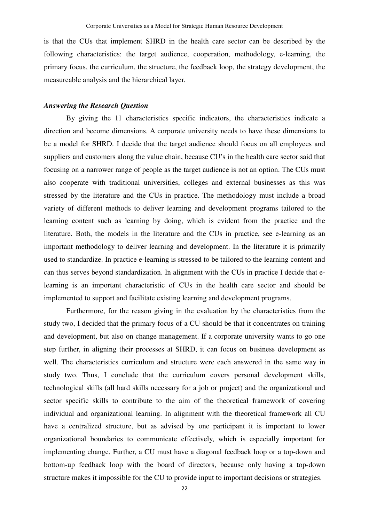is that the CUs that implement SHRD in the health care sector can be described by the following characteristics: the target audience, cooperation, methodology, e-learning, the primary focus, the curriculum, the structure, the feedback loop, the strategy development, the measureable analysis and the hierarchical layer.

### *Answering the Research Question*

By giving the 11 characteristics specific indicators, the characteristics indicate a direction and become dimensions. A corporate university needs to have these dimensions to be a model for SHRD. I decide that the target audience should focus on all employees and suppliers and customers along the value chain, because CU's in the health care sector said that focusing on a narrower range of people as the target audience is not an option. The CUs must also cooperate with traditional universities, colleges and external businesses as this was stressed by the literature and the CUs in practice. The methodology must include a broad variety of different methods to deliver learning and development programs tailored to the learning content such as learning by doing, which is evident from the practice and the literature. Both, the models in the literature and the CUs in practice, see e-learning as an important methodology to deliver learning and development. In the literature it is primarily used to standardize. In practice e-learning is stressed to be tailored to the learning content and can thus serves beyond standardization. In alignment with the CUs in practice I decide that elearning is an important characteristic of CUs in the health care sector and should be implemented to support and facilitate existing learning and development programs.

Furthermore, for the reason giving in the evaluation by the characteristics from the study two, I decided that the primary focus of a CU should be that it concentrates on training and development, but also on change management. If a corporate university wants to go one step further, in aligning their processes at SHRD, it can focus on business development as well. The characteristics curriculum and structure were each answered in the same way in study two. Thus, I conclude that the curriculum covers personal development skills, technological skills (all hard skills necessary for a job or project) and the organizational and sector specific skills to contribute to the aim of the theoretical framework of covering individual and organizational learning. In alignment with the theoretical framework all CU have a centralized structure, but as advised by one participant it is important to lower organizational boundaries to communicate effectively, which is especially important for implementing change. Further, a CU must have a diagonal feedback loop or a top-down and bottom-up feedback loop with the board of directors, because only having a top-down structure makes it impossible for the CU to provide input to important decisions or strategies.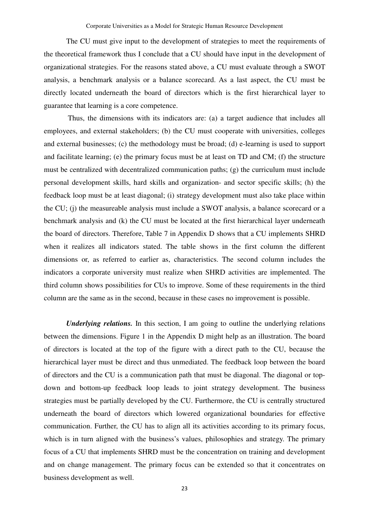The CU must give input to the development of strategies to meet the requirements of the theoretical framework thus I conclude that a CU should have input in the development of organizational strategies. For the reasons stated above, a CU must evaluate through a SWOT analysis, a benchmark analysis or a balance scorecard. As a last aspect, the CU must be directly located underneath the board of directors which is the first hierarchical layer to guarantee that learning is a core competence.

 Thus, the dimensions with its indicators are: (a) a target audience that includes all employees, and external stakeholders; (b) the CU must cooperate with universities, colleges and external businesses; (c) the methodology must be broad; (d) e-learning is used to support and facilitate learning; (e) the primary focus must be at least on TD and CM; (f) the structure must be centralized with decentralized communication paths; (g) the curriculum must include personal development skills, hard skills and organization- and sector specific skills; (h) the feedback loop must be at least diagonal; (i) strategy development must also take place within the CU; (j) the measureable analysis must include a SWOT analysis, a balance scorecard or a benchmark analysis and (k) the CU must be located at the first hierarchical layer underneath the board of directors. Therefore, Table 7 in Appendix D shows that a CU implements SHRD when it realizes all indicators stated. The table shows in the first column the different dimensions or, as referred to earlier as, characteristics. The second column includes the indicators a corporate university must realize when SHRD activities are implemented. The third column shows possibilities for CUs to improve. Some of these requirements in the third column are the same as in the second, because in these cases no improvement is possible.

*Underlying relations.* In this section, I am going to outline the underlying relations between the dimensions. Figure 1 in the Appendix D might help as an illustration. The board of directors is located at the top of the figure with a direct path to the CU, because the hierarchical layer must be direct and thus unmediated. The feedback loop between the board of directors and the CU is a communication path that must be diagonal. The diagonal or topdown and bottom-up feedback loop leads to joint strategy development. The business strategies must be partially developed by the CU. Furthermore, the CU is centrally structured underneath the board of directors which lowered organizational boundaries for effective communication. Further, the CU has to align all its activities according to its primary focus, which is in turn aligned with the business's values, philosophies and strategy. The primary focus of a CU that implements SHRD must be the concentration on training and development and on change management. The primary focus can be extended so that it concentrates on business development as well.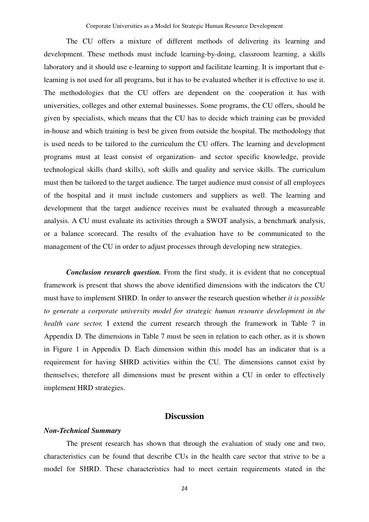The CU offers a mixture of different methods of delivering its learning and development. These methods must include learning-by-doing, classroom learning, a skills laboratory and it should use e-learning to support and facilitate learning. It is important that elearning is not used for all programs, but it has to be evaluated whether it is effective to use it. The methodologies that the CU offers are dependent on the cooperation it has with universities, colleges and other external businesses. Some programs, the CU offers, should be given by specialists, which means that the CU has to decide which training can be provided in-house and which training is best be given from outside the hospital. The methodology that is used needs to be tailored to the curriculum the CU offers. The learning and development programs must at least consist of organization- and sector specific knowledge, provide technological skills (hard skills), soft skills and quality and service skills. The curriculum must then be tailored to the target audience. The target audience must consist of all employees of the hospital and it must include customers and suppliers as well. The learning and development that the target audience receives must be evaluated through a measureable analysis. A CU must evaluate its activities through a SWOT analysis, a benchmark analysis, or a balance scorecard. The results of the evaluation have to be communicated to the management of the CU in order to adjust processes through developing new strategies.

*Conclusion research question.* From the first study, it is evident that no conceptual framework is present that shows the above identified dimensions with the indicators the CU must have to implement SHRD. In order to answer the research question whether *it is possible to generate a corporate university model for strategic human resource development in the health care sector*, I extend the current research through the framework in Table 7 in Appendix D. The dimensions in Table 7 must be seen in relation to each other, as it is shown in Figure 1 in Appendix D. Each dimension within this model has an indicator that is a requirement for having SHRD activities within the CU. The dimensions cannot exist by themselves; therefore all dimensions must be present within a CU in order to effectively implement HRD strategies.

### **Discussion**

#### *Non-Technical Summary*

The present research has shown that through the evaluation of study one and two, characteristics can be found that describe CUs in the health care sector that strive to be a model for SHRD. These characteristics had to meet certain requirements stated in the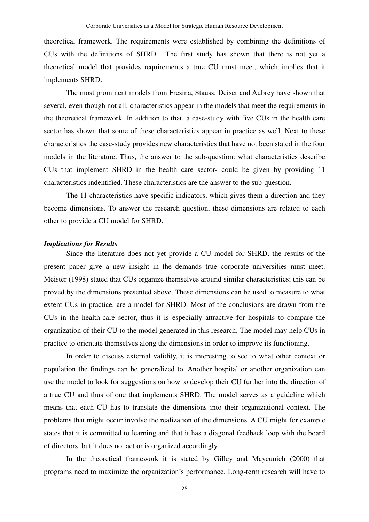theoretical framework. The requirements were established by combining the definitions of CUs with the definitions of SHRD. The first study has shown that there is not yet a theoretical model that provides requirements a true CU must meet, which implies that it implements SHRD.

The most prominent models from Fresina, Stauss, Deiser and Aubrey have shown that several, even though not all, characteristics appear in the models that meet the requirements in the theoretical framework. In addition to that, a case-study with five CUs in the health care sector has shown that some of these characteristics appear in practice as well. Next to these characteristics the case-study provides new characteristics that have not been stated in the four models in the literature. Thus, the answer to the sub-question: what characteristics describe CUs that implement SHRD in the health care sector- could be given by providing 11 characteristics indentified. These characteristics are the answer to the sub-question.

The 11 characteristics have specific indicators, which gives them a direction and they become dimensions. To answer the research question, these dimensions are related to each other to provide a CU model for SHRD.

#### *Implications for Results*

Since the literature does not yet provide a CU model for SHRD, the results of the present paper give a new insight in the demands true corporate universities must meet. Meister (1998) stated that CUs organize themselves around similar characteristics; this can be proved by the dimensions presented above. These dimensions can be used to measure to what extent CUs in practice, are a model for SHRD. Most of the conclusions are drawn from the CUs in the health-care sector, thus it is especially attractive for hospitals to compare the organization of their CU to the model generated in this research. The model may help CUs in practice to orientate themselves along the dimensions in order to improve its functioning.

In order to discuss external validity, it is interesting to see to what other context or population the findings can be generalized to. Another hospital or another organization can use the model to look for suggestions on how to develop their CU further into the direction of a true CU and thus of one that implements SHRD. The model serves as a guideline which means that each CU has to translate the dimensions into their organizational context. The problems that might occur involve the realization of the dimensions. A CU might for example states that it is committed to learning and that it has a diagonal feedback loop with the board of directors, but it does not act or is organized accordingly.

In the theoretical framework it is stated by Gilley and Maycunich (2000) that programs need to maximize the organization's performance. Long-term research will have to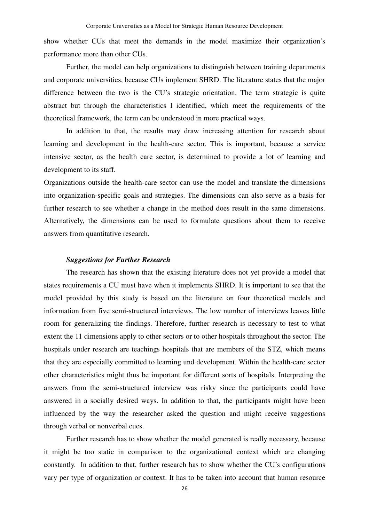show whether CUs that meet the demands in the model maximize their organization's performance more than other CUs.

Further, the model can help organizations to distinguish between training departments and corporate universities, because CUs implement SHRD. The literature states that the major difference between the two is the CU's strategic orientation. The term strategic is quite abstract but through the characteristics I identified, which meet the requirements of the theoretical framework, the term can be understood in more practical ways.

In addition to that, the results may draw increasing attention for research about learning and development in the health-care sector. This is important, because a service intensive sector, as the health care sector, is determined to provide a lot of learning and development to its staff.

Organizations outside the health-care sector can use the model and translate the dimensions into organization-specific goals and strategies. The dimensions can also serve as a basis for further research to see whether a change in the method does result in the same dimensions. Alternatively, the dimensions can be used to formulate questions about them to receive answers from quantitative research.

#### *Suggestions for Further Research*

The research has shown that the existing literature does not yet provide a model that states requirements a CU must have when it implements SHRD. It is important to see that the model provided by this study is based on the literature on four theoretical models and information from five semi-structured interviews. The low number of interviews leaves little room for generalizing the findings. Therefore, further research is necessary to test to what extent the 11 dimensions apply to other sectors or to other hospitals throughout the sector. The hospitals under research are teachings hospitals that are members of the STZ, which means that they are especially committed to learning und development. Within the health-care sector other characteristics might thus be important for different sorts of hospitals. Interpreting the answers from the semi-structured interview was risky since the participants could have answered in a socially desired ways. In addition to that, the participants might have been influenced by the way the researcher asked the question and might receive suggestions through verbal or nonverbal cues.

Further research has to show whether the model generated is really necessary, because it might be too static in comparison to the organizational context which are changing constantly. In addition to that, further research has to show whether the CU's configurations vary per type of organization or context. It has to be taken into account that human resource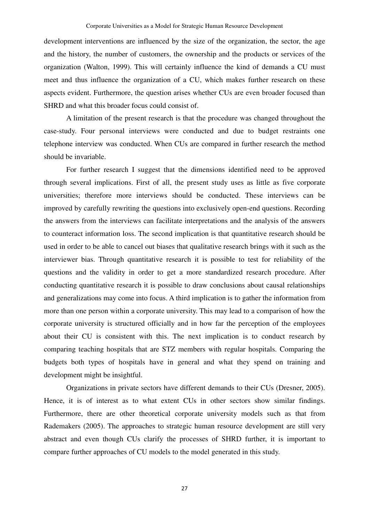development interventions are influenced by the size of the organization, the sector, the age and the history, the number of customers, the ownership and the products or services of the organization (Walton, 1999). This will certainly influence the kind of demands a CU must meet and thus influence the organization of a CU, which makes further research on these aspects evident. Furthermore, the question arises whether CUs are even broader focused than SHRD and what this broader focus could consist of.

A limitation of the present research is that the procedure was changed throughout the case-study. Four personal interviews were conducted and due to budget restraints one telephone interview was conducted. When CUs are compared in further research the method should be invariable.

For further research I suggest that the dimensions identified need to be approved through several implications. First of all, the present study uses as little as five corporate universities; therefore more interviews should be conducted. These interviews can be improved by carefully rewriting the questions into exclusively open-end questions. Recording the answers from the interviews can facilitate interpretations and the analysis of the answers to counteract information loss. The second implication is that quantitative research should be used in order to be able to cancel out biases that qualitative research brings with it such as the interviewer bias. Through quantitative research it is possible to test for reliability of the questions and the validity in order to get a more standardized research procedure. After conducting quantitative research it is possible to draw conclusions about causal relationships and generalizations may come into focus. A third implication is to gather the information from more than one person within a corporate university. This may lead to a comparison of how the corporate university is structured officially and in how far the perception of the employees about their CU is consistent with this. The next implication is to conduct research by comparing teaching hospitals that are STZ members with regular hospitals. Comparing the budgets both types of hospitals have in general and what they spend on training and development might be insightful.

Organizations in private sectors have different demands to their CUs (Dresner, 2005). Hence, it is of interest as to what extent CUs in other sectors show similar findings. Furthermore, there are other theoretical corporate university models such as that from Rademakers (2005). The approaches to strategic human resource development are still very abstract and even though CUs clarify the processes of SHRD further, it is important to compare further approaches of CU models to the model generated in this study.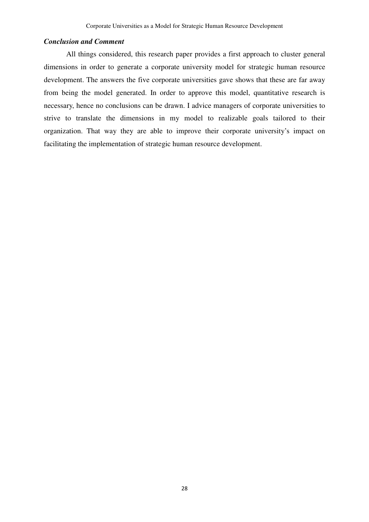### *Conclusion and Comment*

All things considered, this research paper provides a first approach to cluster general dimensions in order to generate a corporate university model for strategic human resource development. The answers the five corporate universities gave shows that these are far away from being the model generated. In order to approve this model, quantitative research is necessary, hence no conclusions can be drawn. I advice managers of corporate universities to strive to translate the dimensions in my model to realizable goals tailored to their organization. That way they are able to improve their corporate university's impact on facilitating the implementation of strategic human resource development.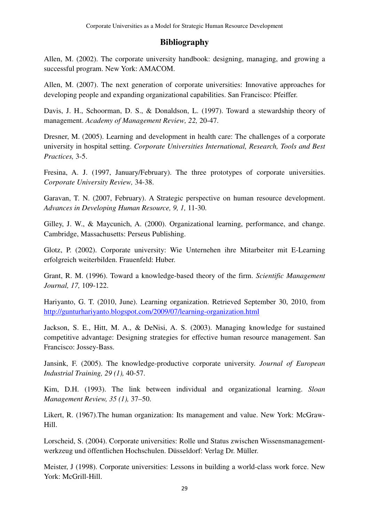### **Bibliography**

Allen, M. (2002). The corporate university handbook: designing, managing, and growing a successful program. New York: AMACOM.

Allen, M. (2007). The next generation of corporate universities: Innovative approaches for developing people and expanding organizational capabilities. San Francisco: Pfeiffer.

Davis, J. H., Schoorman, D. S., & Donaldson, L. (1997). Toward a stewardship theory of management. *Academy of Management Review, 22,* 20-47.

Dresner, M. (2005). Learning and development in health care: The challenges of a corporate university in hospital setting. *Corporate Universities International, Research, Tools and Best Practices,* 3-5.

Fresina, A. J. (1997, January/February). The three prototypes of corporate universities. *Corporate University Review,* 34-38.

Garavan, T. N. (2007, February). A Strategic perspective on human resource development. *Advances in Developing Human Resource, 9, 1,* 11-30.

Gilley, J. W., & Maycunich, A. (2000). Organizational learning, performance, and change. Cambridge, Massachusetts: Perseus Publishing.

Glotz, P. (2002). Corporate university: Wie Unternehen ihre Mitarbeiter mit E-Learning erfolgreich weiterbilden. Frauenfeld: Huber.

Grant, R. M. (1996). Toward a knowledge-based theory of the firm. *Scientific Management Journal, 17,* 109-122.

Hariyanto, G. T. (2010, June). Learning organization. Retrieved September 30, 2010, from http://gunturhariyanto.blogspot.com/2009/07/learning-organization.html

Jackson, S. E., Hitt, M. A., & DeNisi, A. S. (2003). Managing knowledge for sustained competitive advantage: Designing strategies for effective human resource management. San Francisco: Jossey-Bass.

Jansink, F. (2005). The knowledge-productive corporate university. *Journal of European Industrial Training, 29 (1),* 40-57.

Kim, D.H. (1993). The link between individual and organizational learning. *Sloan Management Review, 35 (1),* 37–50.

Likert, R. (1967).The human organization: Its management and value. New York: McGraw-Hill.

Lorscheid, S. (2004). Corporate universities: Rolle und Status zwischen Wissensmanagementwerkzeug und öffentlichen Hochschulen. Düsseldorf: Verlag Dr. Müller.

Meister, J (1998). Corporate universities: Lessons in building a world-class work force. New York: McGrill-Hill.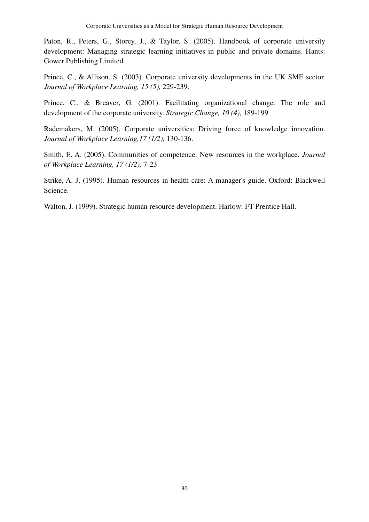Paton, R., Peters, G., Storey, J., & Taylor, S. (2005). Handbook of corporate university development: Managing strategic learning initiatives in public and private domains. Hants: Gower Publishing Limited.

Prince, C., & Allison, S. (2003). Corporate university developments in the UK SME sector. *Journal of Workplace Learning, 15 (5),* 229-239.

Prince, C., & Breaver, G. (2001). Facilitating organizational change: The role and development of the corporate university. *Strategic Change, 10 (4),* 189-199

Rademakers, M. (2005). Corporate universities: Driving force of knowledge innovation. *Journal of Workplace Learning,17 (1/2),* 130-136.

Smith, E. A. (2005). Communities of competence: New resources in the workplace. *Journal of Workplace Learning, 17 (1/2),* 7-23.

Strike, A. J. (1995). Human resources in health care: A manager's guide. Oxford: Blackwell Science.

Walton, J. (1999). Strategic human resource development. Harlow: FT Prentice Hall.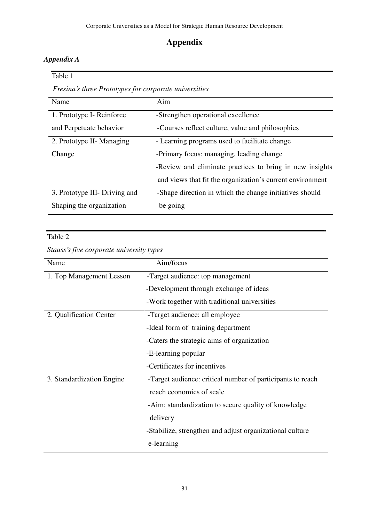# **Appendix**

### *Appendix A*

Table 1

*Fresina's three Prototypes for corporate universities* 

| Name                          | Aim                                                       |
|-------------------------------|-----------------------------------------------------------|
| 1. Prototype I- Reinforce     | -Strengthen operational excellence                        |
| and Perpetuate behavior       | -Courses reflect culture, value and philosophies          |
| 2. Prototype II- Managing     | - Learning programs used to facilitate change             |
| Change                        | -Primary focus: managing, leading change                  |
|                               | -Review and eliminate practices to bring in new insights  |
|                               | and views that fit the organization's current environment |
| 3. Prototype III- Driving and | -Shape direction in which the change initiatives should   |
| Shaping the organization      | be going                                                  |

### Table 2

*Stauss's five corporate university types* 

| Name                      | Aim/focus                                                  |  |
|---------------------------|------------------------------------------------------------|--|
| 1. Top Management Lesson  | -Target audience: top management                           |  |
|                           | -Development through exchange of ideas                     |  |
|                           | -Work together with traditional universities               |  |
| 2. Qualification Center   | -Target audience: all employee                             |  |
|                           | -Ideal form of training department                         |  |
|                           | -Caters the strategic aims of organization                 |  |
|                           | -E-learning popular                                        |  |
|                           | -Certificates for incentives                               |  |
| 3. Standardization Engine | -Target audience: critical number of participants to reach |  |
|                           | reach economics of scale                                   |  |
|                           | -Aim: standardization to secure quality of knowledge       |  |
|                           | delivery                                                   |  |
|                           | -Stabilize, strengthen and adjust organizational culture   |  |
|                           | e-learning                                                 |  |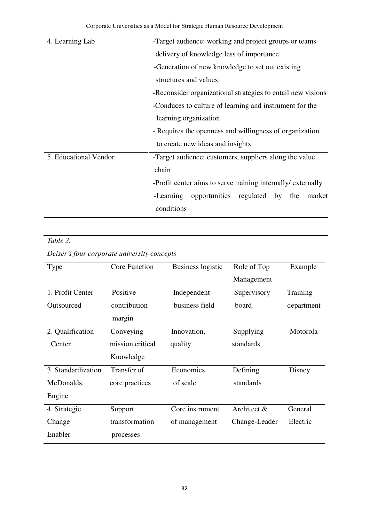| 4. Learning Lab       | -Target audience: working and project groups or teams                            |  |  |  |
|-----------------------|----------------------------------------------------------------------------------|--|--|--|
|                       | delivery of knowledge less of importance                                         |  |  |  |
|                       | -Generation of new knowledge to set out existing                                 |  |  |  |
|                       | structures and values                                                            |  |  |  |
|                       | -Reconsider organizational strategies to entail new visions                      |  |  |  |
|                       | -Conduces to culture of learning and instrument for the                          |  |  |  |
|                       | learning organization<br>- Requires the openness and willingness of organization |  |  |  |
|                       |                                                                                  |  |  |  |
|                       | to create new ideas and insights                                                 |  |  |  |
| 5. Educational Vendor | -Target audience: customers, suppliers along the value                           |  |  |  |
|                       | chain                                                                            |  |  |  |
|                       | -Profit center aims to serve training internally/ externally                     |  |  |  |
|                       | -Learning<br>opportunities regulated by the<br>market                            |  |  |  |
|                       | conditions                                                                       |  |  |  |

### *Table 3.*

### *Deiser's four corporate university concepts*

| Type               | Core Function    | <b>Business logistic</b> | Role of Top   | Example    |
|--------------------|------------------|--------------------------|---------------|------------|
|                    |                  |                          | Management    |            |
| 1. Profit Center   | Positive         | Independent              | Supervisory   | Training   |
| Outsourced         | contribution     | business field           | board         | department |
|                    | margin           |                          |               |            |
| 2. Qualification   | Conveying        | Innovation,              | Supplying     | Motorola   |
| Center             | mission critical | quality                  | standards     |            |
|                    | Knowledge        |                          |               |            |
| 3. Standardization | Transfer of      | Economies                | Defining      | Disney     |
| McDonalds,         | core practices   | of scale                 | standards     |            |
| Engine             |                  |                          |               |            |
| 4. Strategic       | Support          | Core instrument          | Architect &   | General    |
| Change             | transformation   | of management            | Change-Leader | Electric   |
| Enabler            | processes        |                          |               |            |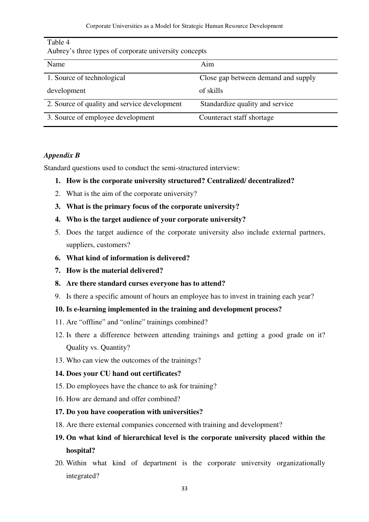| Allorey State types of corporate university concepts |                                     |  |  |  |
|------------------------------------------------------|-------------------------------------|--|--|--|
| Name                                                 | Aim                                 |  |  |  |
| 1. Source of technological                           | Close gap between demand and supply |  |  |  |
| development                                          | of skills                           |  |  |  |
| 2. Source of quality and service development         | Standardize quality and service     |  |  |  |
| 3. Source of employee development                    | Counteract staff shortage           |  |  |  |

### Table 4

Aubrey's three types of corporate university concepts

### *Appendix B*

Standard questions used to conduct the semi-structured interview:

### **1. How is the corporate university structured? Centralized/ decentralized?**

- 2. What is the aim of the corporate university?
- **3. What is the primary focus of the corporate university?**
- **4. Who is the target audience of your corporate university?**
- 5. Does the target audience of the corporate university also include external partners, suppliers, customers?
- **6. What kind of information is delivered?**
- **7. How is the material delivered?**
- **8. Are there standard curses everyone has to attend?**
- 9. Is there a specific amount of hours an employee has to invest in training each year?

### **10. Is e-learning implemented in the training and development process?**

- 11. Are "offline" and "online" trainings combined?
- 12. Is there a difference between attending trainings and getting a good grade on it? Quality vs. Quantity?
- 13. Who can view the outcomes of the trainings?

### **14. Does your CU hand out certificates?**

- 15. Do employees have the chance to ask for training?
- 16. How are demand and offer combined?

### **17. Do you have cooperation with universities?**

18. Are there external companies concerned with training and development?

### **19. On what kind of hierarchical level is the corporate university placed within the hospital?**

20. Within what kind of department is the corporate university organizationally integrated?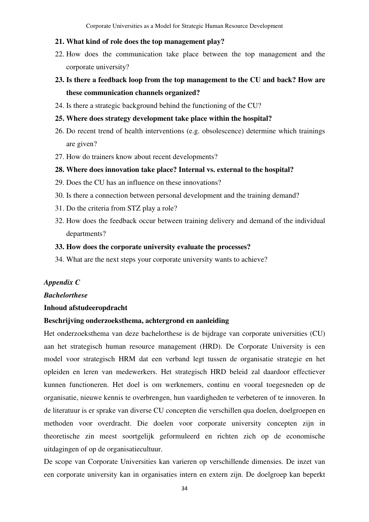#### **21. What kind of role does the top management play?**

- 22. How does the communication take place between the top management and the corporate university?
- **23. Is there a feedback loop from the top management to the CU and back? How are these communication channels organized?**
- 24. Is there a strategic background behind the functioning of the CU?
- **25. Where does strategy development take place within the hospital?**
- 26. Do recent trend of health interventions (e.g. obsolescence) determine which trainings are given?
- 27. How do trainers know about recent developments?

### **28. Where does innovation take place? Internal vs. external to the hospital?**

- 29. Does the CU has an influence on these innovations?
- 30. Is there a connection between personal development and the training demand?
- 31. Do the criteria from STZ play a role?
- 32. How does the feedback occur between training delivery and demand of the individual departments?

### **33. How does the corporate university evaluate the processes?**

34. What are the next steps your corporate university wants to achieve?

### *Appendix C*

### *Bachelorthese*

### **Inhoud afstudeeropdracht**

### **Beschrijving onderzoeksthema, achtergrond en aanleiding**

Het onderzoeksthema van deze bachelorthese is de bijdrage van corporate universities (CU) aan het strategisch human resource management (HRD). De Corporate University is een model voor strategisch HRM dat een verband legt tussen de organisatie strategie en het opleiden en leren van medewerkers. Het strategisch HRD beleid zal daardoor effectiever kunnen functioneren. Het doel is om werknemers, continu en vooral toegesneden op de organisatie, nieuwe kennis te overbrengen, hun vaardigheden te verbeteren of te innoveren. In de literatuur is er sprake van diverse CU concepten die verschillen qua doelen, doelgroepen en methoden voor overdracht. Die doelen voor corporate university concepten zijn in theoretische zin meest soortgelijk geformuleerd en richten zich op de economische uitdagingen of op de organisatiecultuur.

De scope van Corporate Universities kan varieren op verschillende dimensies. De inzet van een corporate university kan in organisaties intern en extern zijn. De doelgroep kan beperkt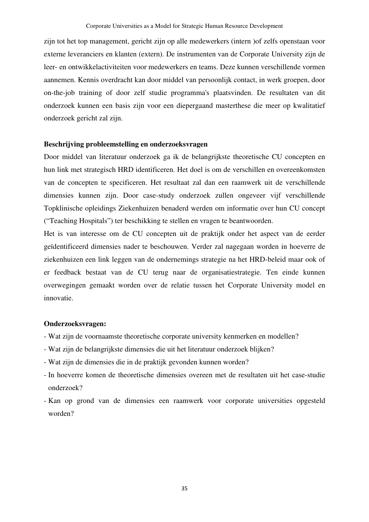zijn tot het top management, gericht zijn op alle medewerkers (intern )of zelfs openstaan voor externe leveranciers en klanten (extern). De instrumenten van de Corporate University zijn de leer- en ontwikkelactiviteiten voor medewerkers en teams. Deze kunnen verschillende vormen aannemen. Kennis overdracht kan door middel van persoonlijk contact, in werk groepen, door on-the-job training of door zelf studie programma's plaatsvinden. De resultaten van dit onderzoek kunnen een basis zijn voor een diepergaand masterthese die meer op kwalitatief onderzoek gericht zal zijn.

### **Beschrijving probleemstelling en onderzoeksvragen**

Door middel van literatuur onderzoek ga ik de belangrijkste theoretische CU concepten en hun link met strategisch HRD identificeren. Het doel is om de verschillen en overeenkomsten van de concepten te specificeren. Het resultaat zal dan een raamwerk uit de verschillende dimensies kunnen zijn. Door case-study onderzoek zullen ongeveer vijf verschillende Topklinische opleidings Ziekenhuizen benaderd werden om informatie over hun CU concept ("Teaching Hospitals") ter beschikking te stellen en vragen te beantwoorden.

Het is van interesse om de CU concepten uit de praktijk onder het aspect van de eerder geïdentificeerd dimensies nader te beschouwen. Verder zal nagegaan worden in hoeverre de ziekenhuizen een link leggen van de ondernemings strategie na het HRD-beleid maar ook of er feedback bestaat van de CU terug naar de organisatiestrategie. Ten einde kunnen overwegingen gemaakt worden over de relatie tussen het Corporate University model en innovatie.

### **Onderzoeksvragen:**

- Wat zijn de voornaamste theoretische corporate university kenmerken en modellen?
- Wat zijn de belangrijkste dimensies die uit het literatuur onderzoek blijken?
- Wat zijn de dimensies die in de praktijk gevonden kunnen worden?
- In hoeverre komen de theoretische dimensies overeen met de resultaten uit het case-studie onderzoek?
- Kan op grond van de dimensies een raamwerk voor corporate universities opgesteld worden?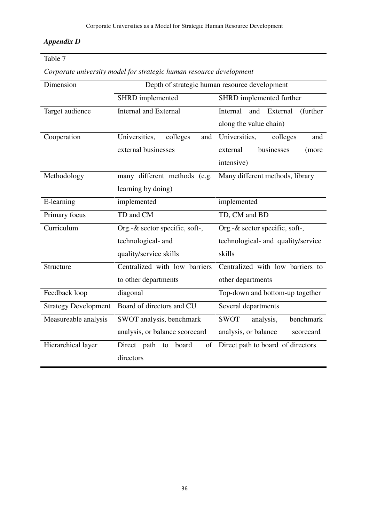### *Appendix D*

## Table 7

| Corporate university model for strategic human resource development |  |  |  |  |
|---------------------------------------------------------------------|--|--|--|--|
|                                                                     |  |  |  |  |

| Dimension                   |                                  | Depth of strategic human resource development |  |  |
|-----------------------------|----------------------------------|-----------------------------------------------|--|--|
|                             | SHRD implemented                 | SHRD implemented further                      |  |  |
| Target audience             | <b>Internal and External</b>     | Internal<br>and External<br>(further          |  |  |
|                             |                                  | along the value chain)                        |  |  |
| Cooperation                 | Universities,<br>colleges<br>and | Universities,<br>colleges<br>and              |  |  |
|                             | external businesses              | businesses<br>external<br>(more               |  |  |
|                             |                                  | intensive)                                    |  |  |
| Methodology                 | many different methods (e.g.     | Many different methods, library               |  |  |
|                             | learning by doing)               |                                               |  |  |
| E-learning                  | implemented                      | implemented                                   |  |  |
| Primary focus               | TD and CM                        | TD, CM and BD                                 |  |  |
| Curriculum                  | Org.-& sector specific, soft-,   | Org.-& sector specific, soft-,                |  |  |
|                             | technological- and               | technological- and quality/service            |  |  |
|                             | quality/service skills           | skills                                        |  |  |
| Structure                   | Centralized with low barriers    | Centralized with low barriers to              |  |  |
|                             | to other departments             | other departments                             |  |  |
| Feedback loop               | diagonal                         | Top-down and bottom-up together               |  |  |
| <b>Strategy Development</b> | Board of directors and CU        | Several departments                           |  |  |
| Measureable analysis        | SWOT analysis, benchmark         | <b>SWOT</b><br>benchmark<br>analysis,         |  |  |
|                             | analysis, or balance scorecard   | analysis, or balance<br>scorecard             |  |  |
| Hierarchical layer          | Direct path<br>of<br>board<br>to | Direct path to board of directors             |  |  |
|                             | directors                        |                                               |  |  |